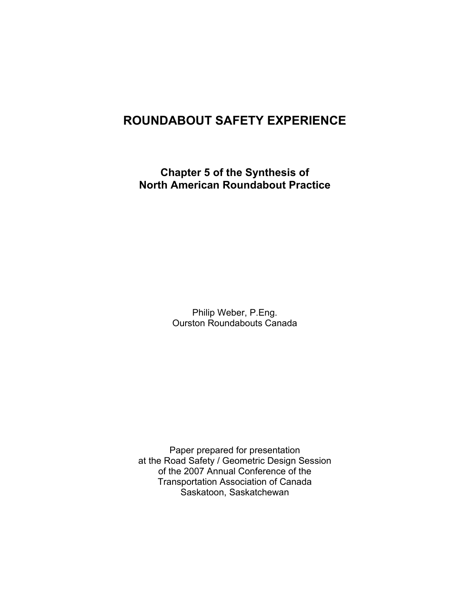# **ROUNDABOUT SAFETY EXPERIENCE**

**Chapter 5 of the Synthesis of North American Roundabout Practice** 

> Philip Weber, P.Eng. Ourston Roundabouts Canada

Paper prepared for presentation at the Road Safety / Geometric Design Session of the 2007 Annual Conference of the Transportation Association of Canada Saskatoon, Saskatchewan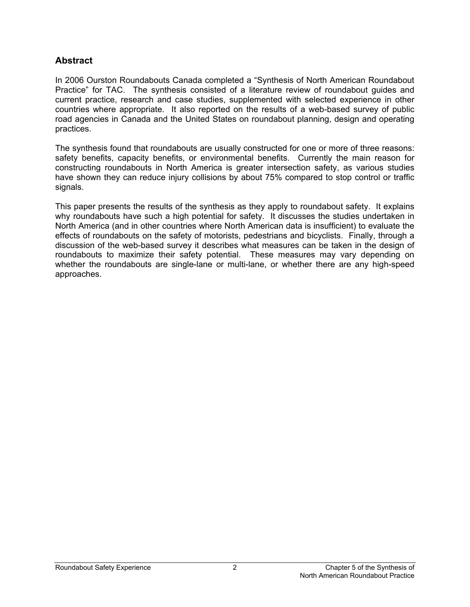#### **Abstract**

In 2006 Ourston Roundabouts Canada completed a "Synthesis of North American Roundabout Practice" for TAC. The synthesis consisted of a literature review of roundabout guides and current practice, research and case studies, supplemented with selected experience in other countries where appropriate. It also reported on the results of a web-based survey of public road agencies in Canada and the United States on roundabout planning, design and operating practices.

The synthesis found that roundabouts are usually constructed for one or more of three reasons: safety benefits, capacity benefits, or environmental benefits. Currently the main reason for constructing roundabouts in North America is greater intersection safety, as various studies have shown they can reduce injury collisions by about 75% compared to stop control or traffic signals.

This paper presents the results of the synthesis as they apply to roundabout safety. It explains why roundabouts have such a high potential for safety. It discusses the studies undertaken in North America (and in other countries where North American data is insufficient) to evaluate the effects of roundabouts on the safety of motorists, pedestrians and bicyclists. Finally, through a discussion of the web-based survey it describes what measures can be taken in the design of roundabouts to maximize their safety potential. These measures may vary depending on whether the roundabouts are single-lane or multi-lane, or whether there are any high-speed approaches.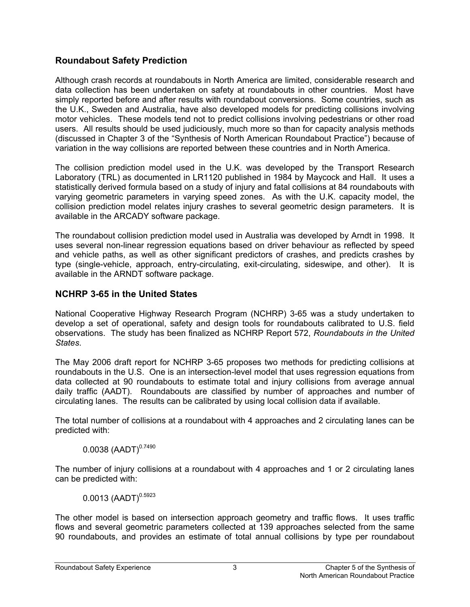## **Roundabout Safety Prediction**

Although crash records at roundabouts in North America are limited, considerable research and data collection has been undertaken on safety at roundabouts in other countries. Most have simply reported before and after results with roundabout conversions. Some countries, such as the U.K., Sweden and Australia, have also developed models for predicting collisions involving motor vehicles. These models tend not to predict collisions involving pedestrians or other road users. All results should be used judiciously, much more so than for capacity analysis methods (discussed in Chapter 3 of the "Synthesis of North American Roundabout Practice") because of variation in the way collisions are reported between these countries and in North America.

The collision prediction model used in the U.K. was developed by the Transport Research Laboratory (TRL) as documented in LR1120 published in 1984 by Maycock and Hall. It uses a statistically derived formula based on a study of injury and fatal collisions at 84 roundabouts with varying geometric parameters in varying speed zones. As with the U.K. capacity model, the collision prediction model relates injury crashes to several geometric design parameters. It is available in the ARCADY software package.

The roundabout collision prediction model used in Australia was developed by Arndt in 1998. It uses several non-linear regression equations based on driver behaviour as reflected by speed and vehicle paths, as well as other significant predictors of crashes, and predicts crashes by type (single-vehicle, approach, entry-circulating, exit-circulating, sideswipe, and other). It is available in the ARNDT software package.

## **NCHRP 3-65 in the United States**

National Cooperative Highway Research Program (NCHRP) 3-65 was a study undertaken to develop a set of operational, safety and design tools for roundabouts calibrated to U.S. field observations. The study has been finalized as NCHRP Report 572, *Roundabouts in the United States*.

The May 2006 draft report for NCHRP 3-65 proposes two methods for predicting collisions at roundabouts in the U.S. One is an intersection-level model that uses regression equations from data collected at 90 roundabouts to estimate total and injury collisions from average annual daily traffic (AADT). Roundabouts are classified by number of approaches and number of circulating lanes. The results can be calibrated by using local collision data if available.

The total number of collisions at a roundabout with 4 approaches and 2 circulating lanes can be predicted with:

 $0.0038$  (AADT) $^{0.7490}$ 

The number of injury collisions at a roundabout with 4 approaches and 1 or 2 circulating lanes can be predicted with:

 $0.0013$  (AADT)<sup>0.5923</sup>

The other model is based on intersection approach geometry and traffic flows. It uses traffic flows and several geometric parameters collected at 139 approaches selected from the same 90 roundabouts, and provides an estimate of total annual collisions by type per roundabout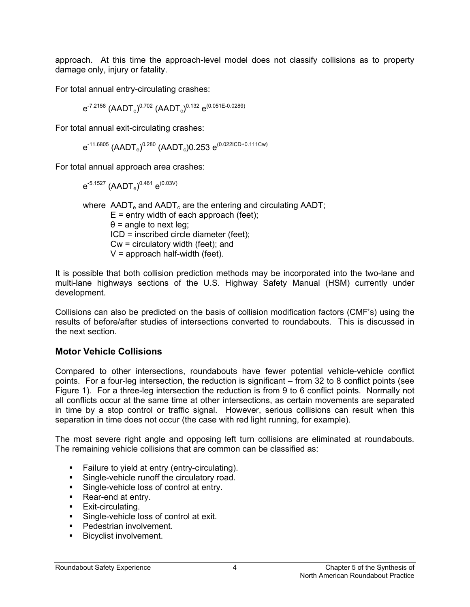approach. At this time the approach-level model does not classify collisions as to property damage only, injury or fatality.

For total annual entry-circulating crashes:

 $\rm e^{\text{-}7.2158}$  (AADT $\rm_e)^{0.702}$  (AADT $\rm_c)^{0.132}$   $\rm e^{(0.051E - 0.028\theta)}$ 

For total annual exit-circulating crashes:

 $\rm e^{\texttt{-11.6805}}$  (AADT $\rm_e)^{0.280}$  (AADT $\rm_c$ )0.253  $\rm e^{(0.0221 \text{CD} + 0.111 \text{Cw})}$ 

For total annual approach area crashes:

 $\rm e^{\text{-}5.1527}\ (AADT_e)^{0.461}\ e^{(0.03 \text{V})}$ 

where  $\triangle$ ADT<sub>e</sub> and  $\triangle$ ADT<sub>c</sub> are the entering and circulating  $\triangle$ ADT;  $E =$  entry width of each approach (feet);  $\theta$  = angle to next leg: ICD = inscribed circle diameter (feet); Cw = circulatory width (feet); and  $V =$  approach half-width (feet).

It is possible that both collision prediction methods may be incorporated into the two-lane and multi-lane highways sections of the U.S. Highway Safety Manual (HSM) currently under development.

Collisions can also be predicted on the basis of collision modification factors (CMF's) using the results of before/after studies of intersections converted to roundabouts. This is discussed in the next section.

#### **Motor Vehicle Collisions**

Compared to other intersections, roundabouts have fewer potential vehicle-vehicle conflict points. For a four-leg intersection, the reduction is significant – from 32 to 8 conflict points (see Figure 1). For a three-leg intersection the reduction is from 9 to 6 conflict points. Normally not all conflicts occur at the same time at other intersections, as certain movements are separated in time by a stop control or traffic signal. However, serious collisions can result when this separation in time does not occur (the case with red light running, for example).

The most severe right angle and opposing left turn collisions are eliminated at roundabouts. The remaining vehicle collisions that are common can be classified as:

- **Failure to yield at entry (entry-circulating).**
- Single-vehicle runoff the circulatory road.
- **Single-vehicle loss of control at entry.**
- Rear-end at entry.
- **Exit-circulating.**
- **Single-vehicle loss of control at exit.**
- Pedestrian involvement.
- **Bicyclist involvement.**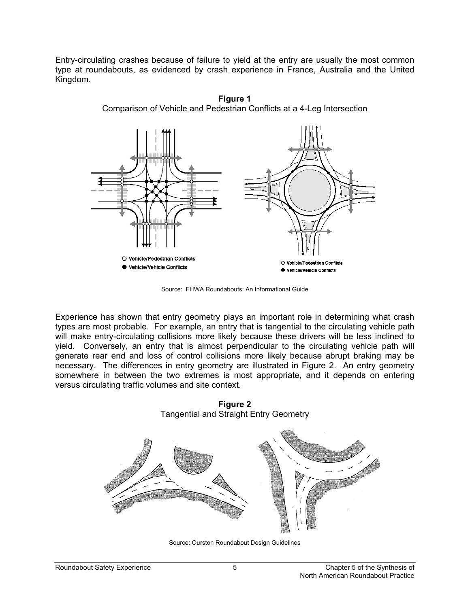Entry-circulating crashes because of failure to yield at the entry are usually the most common type at roundabouts, as evidenced by crash experience in France, Australia and the United Kingdom.



**Figure 1**  Comparison of Vehicle and Pedestrian Conflicts at a 4-Leg Intersection

Source: FHWA Roundabouts: An Informational Guide

Experience has shown that entry geometry plays an important role in determining what crash types are most probable. For example, an entry that is tangential to the circulating vehicle path will make entry-circulating collisions more likely because these drivers will be less inclined to yield. Conversely, an entry that is almost perpendicular to the circulating vehicle path will generate rear end and loss of control collisions more likely because abrupt braking may be necessary. The differences in entry geometry are illustrated in Figure 2. An entry geometry somewhere in between the two extremes is most appropriate, and it depends on entering versus circulating traffic volumes and site context.



**Figure 2**  Tangential and Straight Entry Geometry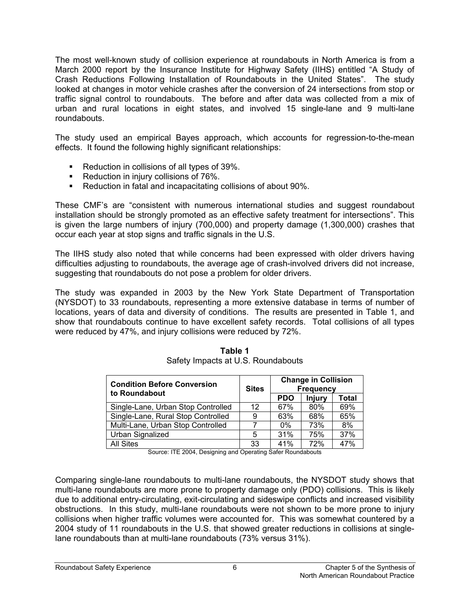The most well-known study of collision experience at roundabouts in North America is from a March 2000 report by the Insurance Institute for Highway Safety (IIHS) entitled "A Study of Crash Reductions Following Installation of Roundabouts in the United States". The study looked at changes in motor vehicle crashes after the conversion of 24 intersections from stop or traffic signal control to roundabouts. The before and after data was collected from a mix of urban and rural locations in eight states, and involved 15 single-lane and 9 multi-lane roundabouts.

The study used an empirical Bayes approach, which accounts for regression-to-the-mean effects. It found the following highly significant relationships:

- Reduction in collisions of all types of 39%.
- Reduction in injury collisions of 76%.
- Reduction in fatal and incapacitating collisions of about 90%.

These CMF's are "consistent with numerous international studies and suggest roundabout installation should be strongly promoted as an effective safety treatment for intersections". This is given the large numbers of injury (700,000) and property damage (1,300,000) crashes that occur each year at stop signs and traffic signals in the U.S.

The IIHS study also noted that while concerns had been expressed with older drivers having difficulties adjusting to roundabouts, the average age of crash-involved drivers did not increase, suggesting that roundabouts do not pose a problem for older drivers.

The study was expanded in 2003 by the New York State Department of Transportation (NYSDOT) to 33 roundabouts, representing a more extensive database in terms of number of locations, years of data and diversity of conditions. The results are presented in Table 1, and show that roundabouts continue to have excellent safety records. Total collisions of all types were reduced by 47%, and injury collisions were reduced by 72%.

| <b>Condition Before Conversion</b><br>to Roundabout | <b>Sites</b> | <b>Change in Collision</b><br><b>Frequency</b> |        |       |
|-----------------------------------------------------|--------------|------------------------------------------------|--------|-------|
|                                                     |              | <b>PDO</b>                                     | Injury | Total |
| Single-Lane, Urban Stop Controlled                  | 12           | 67%                                            | 80%    | 69%   |
| Single-Lane, Rural Stop Controlled                  | 9            | 63%                                            | 68%    | 65%   |
| Multi-Lane, Urban Stop Controlled                   |              | $0\%$                                          | 73%    | 8%    |
| Urban Signalized                                    | 5            | 31%                                            | 75%    | 37%   |
| <b>All Sites</b>                                    | 33           | 41%                                            | 72%    | 47%   |

**Table 1**  Safety Impacts at U.S. Roundabouts

Source: ITE 2004, Designing and Operating Safer Roundabouts

Comparing single-lane roundabouts to multi-lane roundabouts, the NYSDOT study shows that multi-lane roundabouts are more prone to property damage only (PDO) collisions. This is likely due to additional entry-circulating, exit-circulating and sideswipe conflicts and increased visibility obstructions. In this study, multi-lane roundabouts were not shown to be more prone to injury collisions when higher traffic volumes were accounted for. This was somewhat countered by a 2004 study of 11 roundabouts in the U.S. that showed greater reductions in collisions at singlelane roundabouts than at multi-lane roundabouts (73% versus 31%).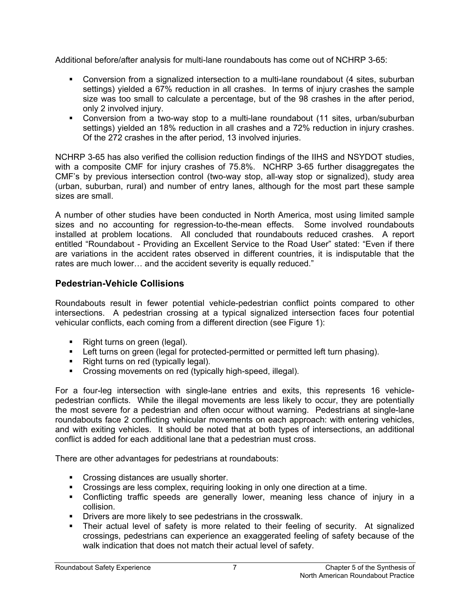Additional before/after analysis for multi-lane roundabouts has come out of NCHRP 3-65:

- Conversion from a signalized intersection to a multi-lane roundabout (4 sites, suburban settings) yielded a 67% reduction in all crashes. In terms of injury crashes the sample size was too small to calculate a percentage, but of the 98 crashes in the after period, only 2 involved injury.
- Conversion from a two-way stop to a multi-lane roundabout (11 sites, urban/suburban settings) yielded an 18% reduction in all crashes and a 72% reduction in injury crashes. Of the 272 crashes in the after period, 13 involved injuries.

NCHRP 3-65 has also verified the collision reduction findings of the IIHS and NSYDOT studies, with a composite CMF for injury crashes of 75.8%. NCHRP 3-65 further disaggregates the CMF's by previous intersection control (two-way stop, all-way stop or signalized), study area (urban, suburban, rural) and number of entry lanes, although for the most part these sample sizes are small.

A number of other studies have been conducted in North America, most using limited sample sizes and no accounting for regression-to-the-mean effects. Some involved roundabouts installed at problem locations. All concluded that roundabouts reduced crashes. A report entitled "Roundabout - Providing an Excellent Service to the Road User" stated: "Even if there are variations in the accident rates observed in different countries, it is indisputable that the rates are much lower… and the accident severity is equally reduced."

## **Pedestrian-Vehicle Collisions**

Roundabouts result in fewer potential vehicle-pedestrian conflict points compared to other intersections. A pedestrian crossing at a typical signalized intersection faces four potential vehicular conflicts, each coming from a different direction (see Figure 1):

- Right turns on green (legal).
- Left turns on green (legal for protected-permitted or permitted left turn phasing).
- Right turns on red (typically legal).
- Crossing movements on red (typically high-speed, illegal).

For a four-leg intersection with single-lane entries and exits, this represents 16 vehiclepedestrian conflicts. While the illegal movements are less likely to occur, they are potentially the most severe for a pedestrian and often occur without warning. Pedestrians at single-lane roundabouts face 2 conflicting vehicular movements on each approach: with entering vehicles, and with exiting vehicles. It should be noted that at both types of intersections, an additional conflict is added for each additional lane that a pedestrian must cross.

There are other advantages for pedestrians at roundabouts:

- Crossing distances are usually shorter.
- Crossings are less complex, requiring looking in only one direction at a time.
- Conflicting traffic speeds are generally lower, meaning less chance of injury in a collision.
- **Drivers are more likely to see pedestrians in the crosswalk.**
- Their actual level of safety is more related to their feeling of security. At signalized crossings, pedestrians can experience an exaggerated feeling of safety because of the walk indication that does not match their actual level of safety.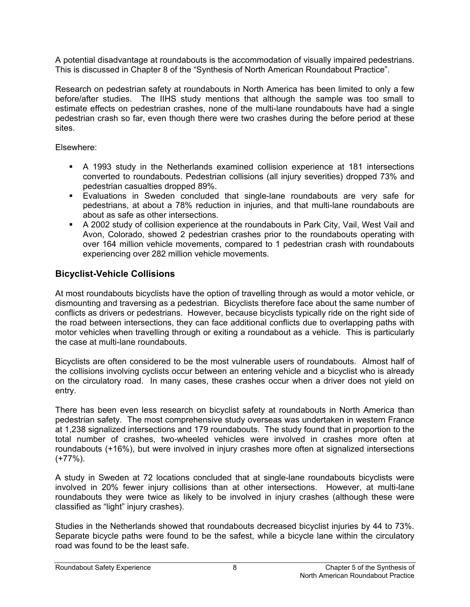A potential disadvantage at roundabouts is the accommodation of visually impaired pedestrians. This is discussed in Chapter 8 of the "Synthesis of North American Roundabout Practice".

Research on pedestrian safety at roundabouts in North America has been limited to only a few before/after studies. The IIHS study mentions that although the sample was too small to estimate effects on pedestrian crashes, none of the multi-lane roundabouts have had a single pedestrian crash so far, even though there were two crashes during the before period at these sites.

Elsewhere:

- A 1993 study in the Netherlands examined collision experience at 181 intersections converted to roundabouts. Pedestrian collisions (all injury severities) dropped 73% and pedestrian casualties dropped 89%.
- Evaluations in Sweden concluded that single-lane roundabouts are very safe for pedestrians, at about a 78% reduction in injuries, and that multi-lane roundabouts are about as safe as other intersections.
- A 2002 study of collision experience at the roundabouts in Park City, Vail, West Vail and Avon, Colorado, showed 2 pedestrian crashes prior to the roundabouts operating with over 164 million vehicle movements, compared to 1 pedestrian crash with roundabouts experiencing over 282 million vehicle movements.

## **Bicyclist-Vehicle Collisions**

At most roundabouts bicyclists have the option of travelling through as would a motor vehicle, or dismounting and traversing as a pedestrian. Bicyclists therefore face about the same number of conflicts as drivers or pedestrians. However, because bicyclists typically ride on the right side of the road between intersections, they can face additional conflicts due to overlapping paths with motor vehicles when travelling through or exiting a roundabout as a vehicle. This is particularly the case at multi-lane roundabouts.

Bicyclists are often considered to be the most vulnerable users of roundabouts. Almost half of the collisions involving cyclists occur between an entering vehicle and a bicyclist who is already on the circulatory road. In many cases, these crashes occur when a driver does not yield on entry.

There has been even less research on bicyclist safety at roundabouts in North America than pedestrian safety. The most comprehensive study overseas was undertaken in western France at 1,238 signalized intersections and 179 roundabouts. The study found that in proportion to the total number of crashes, two-wheeled vehicles were involved in crashes more often at roundabouts (+16%), but were involved in injury crashes more often at signalized intersections (+77%).

A study in Sweden at 72 locations concluded that at single-lane roundabouts bicyclists were involved in 20% fewer injury collisions than at other intersections. However, at multi-lane roundabouts they were twice as likely to be involved in injury crashes (although these were classified as "light" injury crashes).

Studies in the Netherlands showed that roundabouts decreased bicyclist injuries by 44 to 73%. Separate bicycle paths were found to be the safest, while a bicycle lane within the circulatory road was found to be the least safe.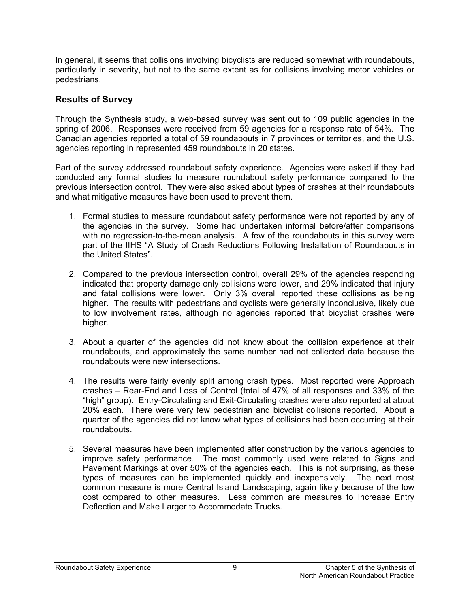In general, it seems that collisions involving bicyclists are reduced somewhat with roundabouts, particularly in severity, but not to the same extent as for collisions involving motor vehicles or pedestrians.

#### **Results of Survey**

Through the Synthesis study, a web-based survey was sent out to 109 public agencies in the spring of 2006. Responses were received from 59 agencies for a response rate of 54%. The Canadian agencies reported a total of 59 roundabouts in 7 provinces or territories, and the U.S. agencies reporting in represented 459 roundabouts in 20 states.

Part of the survey addressed roundabout safety experience. Agencies were asked if they had conducted any formal studies to measure roundabout safety performance compared to the previous intersection control. They were also asked about types of crashes at their roundabouts and what mitigative measures have been used to prevent them.

- 1. Formal studies to measure roundabout safety performance were not reported by any of the agencies in the survey. Some had undertaken informal before/after comparisons with no regression-to-the-mean analysis. A few of the roundabouts in this survey were part of the IIHS "A Study of Crash Reductions Following Installation of Roundabouts in the United States".
- 2. Compared to the previous intersection control, overall 29% of the agencies responding indicated that property damage only collisions were lower, and 29% indicated that injury and fatal collisions were lower. Only 3% overall reported these collisions as being higher. The results with pedestrians and cyclists were generally inconclusive, likely due to low involvement rates, although no agencies reported that bicyclist crashes were higher.
- 3. About a quarter of the agencies did not know about the collision experience at their roundabouts, and approximately the same number had not collected data because the roundabouts were new intersections.
- 4. The results were fairly evenly split among crash types. Most reported were Approach crashes – Rear-End and Loss of Control (total of 47% of all responses and 33% of the "high" group). Entry-Circulating and Exit-Circulating crashes were also reported at about 20% each. There were very few pedestrian and bicyclist collisions reported. About a quarter of the agencies did not know what types of collisions had been occurring at their roundabouts.
- 5. Several measures have been implemented after construction by the various agencies to improve safety performance. The most commonly used were related to Signs and Pavement Markings at over 50% of the agencies each. This is not surprising, as these types of measures can be implemented quickly and inexpensively. The next most common measure is more Central Island Landscaping, again likely because of the low cost compared to other measures. Less common are measures to Increase Entry Deflection and Make Larger to Accommodate Trucks.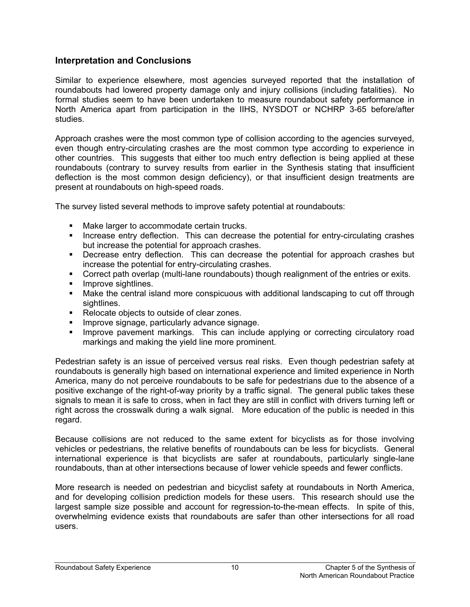#### **Interpretation and Conclusions**

Similar to experience elsewhere, most agencies surveyed reported that the installation of roundabouts had lowered property damage only and injury collisions (including fatalities). No formal studies seem to have been undertaken to measure roundabout safety performance in North America apart from participation in the IIHS, NYSDOT or NCHRP 3-65 before/after studies.

Approach crashes were the most common type of collision according to the agencies surveyed, even though entry-circulating crashes are the most common type according to experience in other countries. This suggests that either too much entry deflection is being applied at these roundabouts (contrary to survey results from earlier in the Synthesis stating that insufficient deflection is the most common design deficiency), or that insufficient design treatments are present at roundabouts on high-speed roads.

The survey listed several methods to improve safety potential at roundabouts:

- Make larger to accommodate certain trucks.
- **Increase entry deflection.** This can decrease the potential for entry-circulating crashes but increase the potential for approach crashes.
- Decrease entry deflection. This can decrease the potential for approach crashes but increase the potential for entry-circulating crashes.
- Correct path overlap (multi-lane roundabouts) though realignment of the entries or exits.
- **Improve sightlines.**
- Make the central island more conspicuous with additional landscaping to cut off through sightlines.
- Relocate objects to outside of clear zones.
- **Improve signage, particularly advance signage.**
- **IMPROVE pavement markings.** This can include applying or correcting circulatory road markings and making the yield line more prominent.

Pedestrian safety is an issue of perceived versus real risks. Even though pedestrian safety at roundabouts is generally high based on international experience and limited experience in North America, many do not perceive roundabouts to be safe for pedestrians due to the absence of a positive exchange of the right-of-way priority by a traffic signal. The general public takes these signals to mean it is safe to cross, when in fact they are still in conflict with drivers turning left or right across the crosswalk during a walk signal. More education of the public is needed in this regard.

Because collisions are not reduced to the same extent for bicyclists as for those involving vehicles or pedestrians, the relative benefits of roundabouts can be less for bicyclists. General international experience is that bicyclists are safer at roundabouts, particularly single-lane roundabouts, than at other intersections because of lower vehicle speeds and fewer conflicts.

More research is needed on pedestrian and bicyclist safety at roundabouts in North America, and for developing collision prediction models for these users. This research should use the largest sample size possible and account for regression-to-the-mean effects. In spite of this, overwhelming evidence exists that roundabouts are safer than other intersections for all road users.